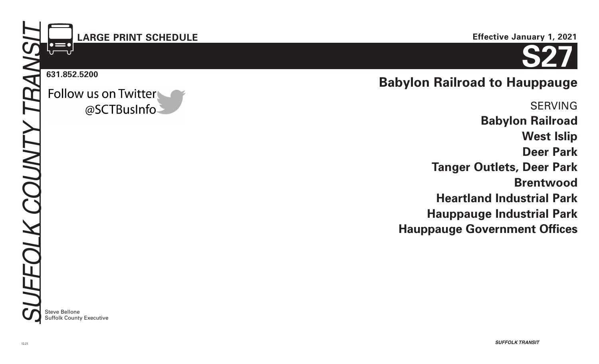# **LARGE PRINT SCHEDULE**

#### **631.852.5200**

Follow us on Twitter @SCTBusInfo



# **Babylon Railroad to Hauppauge**

SERVING **Babylon Railroad West Islip Deer Park Tanger Outlets, Deer Park Brentwood Heartland Industrial Park Hauppauge Industrial Park Hauppauge Government Offices**

**Steve Bellone** Suffolk County Executive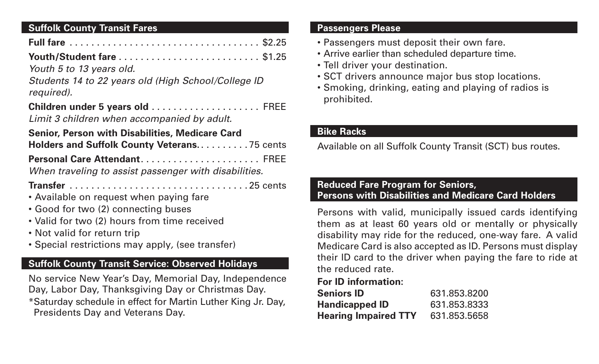# **Suffolk County Transit Fares**

| Youth 5 to 13 years old.                                                                                                                                                                                          |  |
|-------------------------------------------------------------------------------------------------------------------------------------------------------------------------------------------------------------------|--|
| Students 14 to 22 years old (High School/College ID<br>required).                                                                                                                                                 |  |
| Children under 5 years old  FREE<br>Limit 3 children when accompanied by adult.                                                                                                                                   |  |
| <b>Senior, Person with Disabilities, Medicare Card</b><br>Holders and Suffolk County Veterans75 cents                                                                                                             |  |
| When traveling to assist passenger with disabilities.                                                                                                                                                             |  |
| • Available on request when paying fare<br>• Good for two (2) connecting buses<br>• Valid for two (2) hours from time received<br>• Not valid for return trip<br>• Special restrictions may apply, (see transfer) |  |
| <b>Suffolk County Transit Service: Observed Holidays</b><br>No service New Year's Day, Memorial Day, Independence                                                                                                 |  |

service New Year's Day, Memorial Day, Independence Day, Labor Day, Thanksgiving Day or Christmas Day. \*Saturday schedule in effect for Martin Luther King Jr. Day, Presidents Day and Veterans Day.

### **Passengers Please**

- Passengers must deposit their own fare.
- Arrive earlier than scheduled departure time.
- Tell driver your destination.
- SCT drivers announce major bus stop locations.
- Smoking, drinking, eating and playing of radios is prohibited.

# **Bike Racks**

Available on all Suffolk County Transit (SCT) bus routes.

# **Reduced Fare Program for Seniors, Persons with Disabilities and Medicare Card Holders**

Persons with valid, municipally issued cards identifying them as at least 60 years old or mentally or physically disability may ride for the reduced, one-way fare. A valid Medicare Card is also accepted as ID. Persons must display their ID card to the driver when paying the fare to ride at the reduced rate.

# **For ID information:**

| <b>Seniors ID</b>           | 631.853.8200 |
|-----------------------------|--------------|
| <b>Handicapped ID</b>       | 631.853.8333 |
| <b>Hearing Impaired TTY</b> | 631.853.5658 |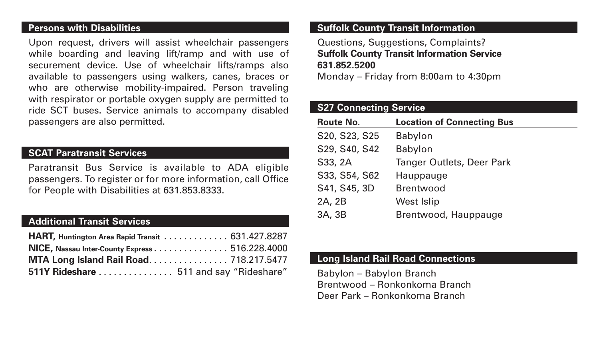#### **Persons with Disabilities**

Upon request, drivers will assist wheelchair passengers while boarding and leaving lift/ramp and with use of securement device. Use of wheelchair lifts/ramps also available to passengers using walkers, canes, braces or who are otherwise mobility-impaired. Person traveling with respirator or portable oxygen supply are permitted to ride SCT buses. Service animals to accompany disabled passengers are also permitted.

## **SCAT Paratransit Services**

Paratransit Bus Service is available to ADA eligible passengers. To register or for more information, call Office for People with Disabilities at 631.853.8333.

# **Additional Transit Services**

| HART, Huntington Area Rapid Transit 631.427.8287 |  |
|--------------------------------------------------|--|
| NICE, Nassau Inter-County Express 516.228.4000   |  |
| MTA Long Island Rail Road 718.217.5477           |  |
| 511Y Rideshare  511 and say "Rideshare"          |  |

### **Suffolk County Transit Information**

Questions, Suggestions, Complaints? **Suffolk County Transit Information Service 631.852.5200**

Monday – Friday from 8:00am to 4:30pm

#### **S27 Connecting Service**

| <b>Route No.</b> | <b>Location of Connecting Bus</b> |
|------------------|-----------------------------------|
| S20, S23, S25    | <b>Babylon</b>                    |
| S29, S40, S42    | Babylon                           |
| S33, 2A          | <b>Tanger Outlets, Deer Park</b>  |
| S33, S54, S62    | Hauppauge                         |
| S41, S45, 3D     | <b>Brentwood</b>                  |
| 2A, 2B           | <b>West Islip</b>                 |
| 3A, 3B           | Brentwood, Hauppauge              |

## **Long Island Rail Road Connections**

Babylon – Babylon Branch Brentwood – Ronkonkoma Branch Deer Park – Ronkonkoma Branch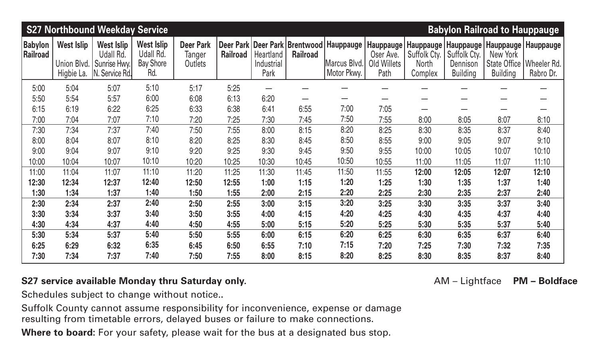|                             |                                  | <b>S27 Northbound Weekday Service</b>          |                                                    |                                       |                 |                                |                 |                                                               |                                        |                                             |                                         | <b>Babylon Railroad to Hauppauge</b> |                                      |
|-----------------------------|----------------------------------|------------------------------------------------|----------------------------------------------------|---------------------------------------|-----------------|--------------------------------|-----------------|---------------------------------------------------------------|----------------------------------------|---------------------------------------------|-----------------------------------------|--------------------------------------|--------------------------------------|
| <b>Babylon</b><br> Railroad | <b>West Islip</b><br>Union Blvd. | <b>West Islip</b><br>Udall Rd.<br>Sunrise Hwy. | <b>West Islip</b><br>Udall Rd.<br><b>Bay Shore</b> | <b>Deer Park</b><br>Tanger<br>Outlets | <b>Railroad</b> | <b>Heartland</b><br>Industrial | <b>Railroad</b> | Deer Park   Deer Park   Brentwood   Hauppauge<br>Marcus Blvd. | Hauppauge!<br>Oser Ave.<br>Old Willets | Hauppauge  <br>Suffolk Cty.<br><b>North</b> | Hauppauge  <br>Suffolk Cty.<br>Dennison | New York<br>State Office             | Hauppauge   Hauppauge<br>Wheeler Rd. |
|                             | Higbie La.                       | Service Rd.<br>IN.                             | Rd.                                                |                                       |                 | Park                           |                 | Motor Pkwy.                                                   | Path                                   | Complex                                     | <b>Building</b>                         | <b>Building</b>                      | Rabro Dr.                            |
| 5:00                        | 5:04                             | 5:07                                           | 5:10                                               | 5:17                                  | 5:25            |                                |                 |                                                               |                                        |                                             |                                         |                                      |                                      |
| 5:50                        | 5:54                             | 5:57                                           | 6:00                                               | 6:08                                  | 6:13            | 6:20                           |                 |                                                               |                                        |                                             |                                         |                                      |                                      |
| 6:15                        | 6:19                             | 6:22                                           | 6:25                                               | 6:33                                  | 6:38            | 6:41                           | 6:55            | 7:00                                                          | 7:05                                   |                                             |                                         |                                      |                                      |
| 7:00                        | 7:04                             | 7:07                                           | 7:10                                               | 7:20                                  | 7:25            | 7:30                           | 7:45            | 7:50                                                          | 7:55                                   | 8:00                                        | 8:05                                    | 8:07                                 | 8:10                                 |
| 7:30                        | 7:34                             | 7:37                                           | 7:40                                               | 7:50                                  | 7:55            | 8:00                           | 8:15            | 8:20                                                          | 8:25                                   | 8:30                                        | 8:35                                    | 8:37                                 | 8:40                                 |
| 8:00                        | 8:04                             | 8:07                                           | 8:10                                               | 8:20                                  | 8:25            | 8:30                           | 8:45            | 8:50                                                          | 8:55                                   | 9:00                                        | 9:05                                    | 9:07                                 | 9:10                                 |
| 9:00                        | 9:04                             | 9:07                                           | 9:10                                               | 9:20                                  | 9:25            | 9:30                           | 9:45            | 9:50                                                          | 9:55                                   | 10:00                                       | 10:05                                   | 10:07                                | 10:10                                |
| 10:00                       | 10:04                            | 10:07                                          | 10:10                                              | 10:20                                 | 10:25           | 10:30                          | 10:45           | 10:50                                                         | 10:55                                  | 11:00                                       | 11:05                                   | 11:07                                | 11:10                                |
| 11:00                       | 11:04                            | 11:07                                          | 11:10                                              | 11:20                                 | 11:25           | 11:30                          | 11:45           | 11:50                                                         | 11:55                                  | 12:00                                       | 12:05                                   | 12:07                                | 12:10                                |
| 12:30                       | 12:34                            | 12:37                                          | 12:40                                              | 12:50                                 | 12:55           | 1:00                           | 1:15            | 1:20                                                          | 1:25                                   | 1:30                                        | 1:35                                    | 1:37                                 | 1:40                                 |
| 1:30                        | 1:34                             | 1:37                                           | 1:40                                               | 1:50                                  | 1:55            | 2:00                           | 2:15            | 2:20                                                          | 2:25                                   | 2:30                                        | 2:35                                    | 2:37                                 | 2:40                                 |
| 2:30                        | 2:34                             | 2:37                                           | 2:40                                               | 2:50                                  | 2:55            | 3:00                           | 3:15            | 3:20                                                          | 3:25                                   | 3:30                                        | 3:35                                    | 3:37                                 | 3:40                                 |
| 3:30                        | 3:34                             | 3:37                                           | 3:40                                               | 3:50                                  | 3:55            | 4:00                           | 4:15            | 4:20                                                          | 4:25                                   | 4:30                                        | 4:35                                    | 4:37                                 | 4:40                                 |
| 4:30                        | 4:34                             | 4:37                                           | 4:40                                               | 4:50                                  | 4:55            | 5:00                           | 5:15            | 5:20                                                          | 5:25                                   | 5:30                                        | 5:35                                    | 5:37                                 | 5:40                                 |
| 5:30                        | 5:34                             | 5:37                                           | 5:40                                               | 5:50                                  | 5:55            | 6:00                           | 6:15            | 6:20                                                          | 6:25                                   | 6:30                                        | 6:35                                    | 6:37                                 | 6:40                                 |
| 6:25                        | 6:29                             | 6:32                                           | 6:35                                               | 6:45                                  | 6:50            | 6:55                           | 7:10            | 7:15                                                          | 7:20                                   | 7:25                                        | 7:30                                    | 7:32                                 | 7:35                                 |
| 7:30                        | 7:34                             | 7:37                                           | 7:40                                               | 7:50                                  | 7:55            | 8:00                           | 8:15            | 8:20                                                          | 8:25                                   | 8:30                                        | 8:35                                    | 8:37                                 | 8:40                                 |

# **S27 service available Monday thru Saturday only. AM – Lightface PM – Boldface**

Schedules subject to change without notice.**.**

Suffolk County cannot assume responsibility for inconvenience, expense or damage resulting from timetable errors, delayed buses or failure to make connections.

Where to board: For your safety, please wait for the bus at a designated bus stop.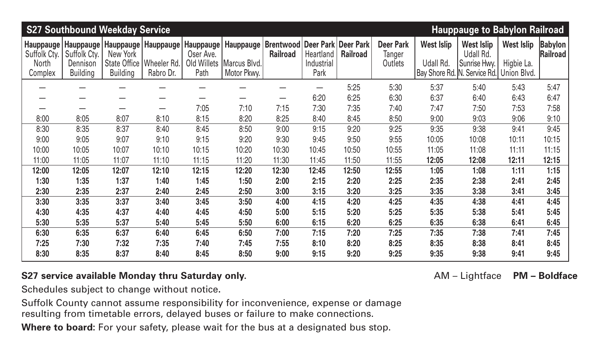| <b>S27 Southbound Weekday Service</b> |                                                     |                 |                                                       |                                              |                                  |                                     |                                                  |                 |                                       |                                | <b>Hauppauge to Babylon Railroad</b>           |                                 |                                   |
|---------------------------------------|-----------------------------------------------------|-----------------|-------------------------------------------------------|----------------------------------------------|----------------------------------|-------------------------------------|--------------------------------------------------|-----------------|---------------------------------------|--------------------------------|------------------------------------------------|---------------------------------|-----------------------------------|
| Suffolk Cty.<br>North                 | Hauppauge   Hauppauge  <br>Suffolk Cty.<br>Dennison | New York        | Hauppauge   Hauppauge  <br>State Office   Wheeler Rd. | <b>Hauppauge</b><br>Oser Ave.<br>Old Willets | <b>Hauppauge</b><br>Marcus Blvd. | <b>Brentwood</b><br><b>Railroad</b> | Deer Park   Deer Park<br>Heartland<br>Industrial | <b>Railroad</b> | <b>Deer Park</b><br>Tanger<br>Outlets | <b>West Islip</b><br>Udall Rd. | <b>West Islip</b><br>Udall Rd.<br>Sunrise Hwy. | <b>West Islip</b><br>Higbie La. | <b>Babylon</b><br><b>Railroad</b> |
| Complex                               | <b>Building</b>                                     | <b>Building</b> | Rabro Dr.                                             | Path                                         | Motor Pkwy.                      |                                     | Park                                             |                 |                                       |                                | Bay Shore Rd. N. Service Rd. Union Blvd.       |                                 |                                   |
|                                       |                                                     |                 |                                                       |                                              |                                  |                                     |                                                  | 5:25            | 5:30                                  | 5:37                           | 5:40                                           | 5:43                            | 5:47                              |
|                                       |                                                     |                 | —                                                     |                                              | $\overline{\phantom{0}}$         | $\overline{\phantom{0}}$            | 6:20                                             | 6:25            | 6:30                                  | 6:37                           | 6:40                                           | 6:43                            | 6:47                              |
|                                       |                                                     |                 | $\overline{\phantom{0}}$                              | 7:05                                         | 7:10                             | 7:15                                | 7:30                                             | 7:35            | 7:40                                  | 7:47                           | 7:50                                           | 7:53                            | 7:58                              |
| 8:00                                  | 8:05                                                | 8:07            | 8:10                                                  | 8:15                                         | 8:20                             | 8:25                                | 8:40                                             | 8:45            | 8:50                                  | 9:00                           | 9:03                                           | 9:06                            | 9:10                              |
| 8:30                                  | 8:35                                                | 8:37            | 8:40                                                  | 8:45                                         | 8:50                             | 9:00                                | 9:15                                             | 9:20            | 9:25                                  | 9:35                           | 9:38                                           | 9:41                            | 9:45                              |
| 9:00                                  | 9:05                                                | 9:07            | 9:10                                                  | 9:15                                         | 9:20                             | 9:30                                | 9:45                                             | 9:50            | 9:55                                  | 10:05                          | 10:08                                          | 10:11                           | 10:15                             |
| 10:00                                 | 10:05                                               | 10:07           | 10:10                                                 | 10:15                                        | 10:20                            | 10:30                               | 10:45                                            | 10:50           | 10:55                                 | 11:05                          | 11:08                                          | 11:11                           | 11:15                             |
| 11:00                                 | 11:05                                               | 11:07           | 11:10                                                 | 11:15                                        | 11:20                            | 11:30                               | 11:45                                            | 11:50           | 11:55                                 | 12:05                          | 12:08                                          | 12:11                           | 12:15                             |
| 12:00                                 | 12:05                                               | 12:07           | 12:10                                                 | 12:15                                        | 12:20                            | 12:30                               | 12:45                                            | 12:50           | 12:55                                 | 1:05                           | 1:08                                           | 1:11                            | 1:15                              |
| 1:30                                  | 1:35                                                | 1:37            | 1:40                                                  | 1:45                                         | 1:50                             | 2:00                                | 2:15                                             | 2:20            | 2:25                                  | 2:35                           | 2:38                                           | 2:41                            | 2:45                              |
| 2:30                                  | 2:35                                                | 2:37            | 2:40                                                  | 2:45                                         | 2:50                             | 3:00                                | 3:15                                             | 3:20            | 3:25                                  | 3:35                           | 3:38                                           | 3:41                            | 3:45                              |
| 3:30                                  | 3:35                                                | 3:37            | 3:40                                                  | 3:45                                         | 3:50                             | 4:00                                | 4:15                                             | 4:20            | 4:25                                  | 4:35                           | 4:38                                           | 4:41                            | 4:45                              |
| 4:30                                  | 4:35                                                | 4:37            | 4:40                                                  | 4:45                                         | 4:50                             | 5:00                                | 5:15                                             | 5:20            | 5:25                                  | 5:35                           | 5:38                                           | 5:41                            | 5:45                              |
| 5:30                                  | 5:35                                                | 5:37            | 5:40                                                  | 5:45                                         | 5:50                             | 6:00                                | 6:15                                             | 6:20            | 6:25                                  | 6:35                           | 6:38                                           | 6:41                            | 6:45                              |
| 6:30                                  | 6:35                                                | 6:37            | 6:40                                                  | 6:45                                         | 6:50                             | 7:00                                | 7:15                                             | 7:20            | 7:25                                  | 7:35                           | 7:38                                           | 7:41                            | 7:45                              |
| 7:25                                  | 7:30                                                | 7:32            | 7:35                                                  | 7:40                                         | 7:45                             | 7:55                                | 8:10                                             | 8:20            | 8:25                                  | 8:35                           | 8:38                                           | 8:41                            | 8:45                              |
| 8:30                                  | 8:35                                                | 8:37            | 8:40                                                  | 8:45                                         | 8:50                             | 9:00                                | 9:15                                             | 9:20            | 9:25                                  | 9:35                           | 9:38                                           | 9:41                            | 9:45                              |

# S27 service available Monday thru Saturday only. **ADD 2018 10 S27 Service available Monday thru Saturday only.** AM – Lightface PM – Boldface

Schedules subject to change without notice**.**

Suffolk County cannot assume responsibility for inconvenience, expense or damage resulting from timetable errors, delayed buses or failure to make connections.

**Where to board:** For your safety, please wait for the bus at a designated bus stop.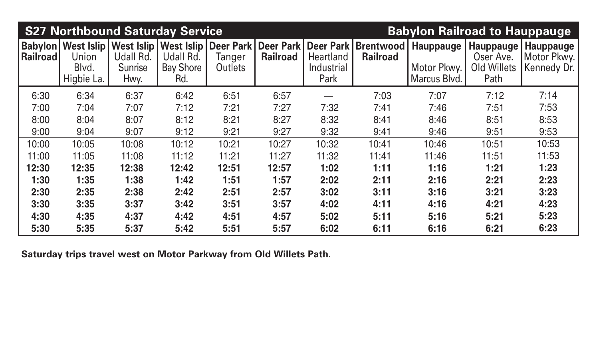|                 | <b>S27 Northbound Saturday Service</b>                        |                              |                                      | <b>Babylon Railroad to Hauppauge</b> |                                                                      |                                 |                                            |                                          |                                                 |                                         |
|-----------------|---------------------------------------------------------------|------------------------------|--------------------------------------|--------------------------------------|----------------------------------------------------------------------|---------------------------------|--------------------------------------------|------------------------------------------|-------------------------------------------------|-----------------------------------------|
| <b>Railroad</b> | <b>Babylon   West Islip  </b><br>Union<br>Blvd.<br>Higbie La. | Udall Rd.<br>Sunrise<br>Hwy. | Udall Rd.<br><b>Bay Shore</b><br>Rd. | Tanger<br>Outlets                    | West Islip   West Islip   Deer Park   Deer Park  <br><b>Railroad</b> | Heartland<br>Industrial<br>Park | Deer Park   Brentwood  <br><b>Railroad</b> | Hauppauge<br>Motor Pkwy.<br>Marcus Blvd. | Hauppauge  <br>Oser Ave.<br>Old Willets<br>Path | Hauppauge<br>Motor Pkwy.<br>Kennedy Dr. |
| 6:30            | 6:34                                                          | 6:37                         | 6:42                                 | 6:51                                 | 6:57                                                                 |                                 | 7:03                                       | 7:07                                     | 7:12                                            | 7:14                                    |
| 7:00            | 7:04                                                          | 7:07                         | 7:12                                 | 7:21                                 | 7:27                                                                 | 7:32                            | 7:41                                       | 7:46                                     | 7:51                                            | 7:53                                    |
| 8:00            | 8:04                                                          | 8:07                         | 8:12                                 | 8:21                                 | 8:27                                                                 | 8:32                            | 8:41                                       | 8:46                                     | 8:51                                            | 8:53                                    |
| 9:00            | 9:04                                                          | 9:07                         | 9:12                                 | 9:21                                 | 9:27                                                                 | 9:32                            | 9:41                                       | 9:46                                     | 9:51                                            | 9:53                                    |
| 10:00           | 10:05                                                         | 10:08                        | 10:12                                | 10:21                                | 10:27                                                                | 10:32                           | 10:41                                      | 10:46                                    | 10:51                                           | 10:53                                   |
| 11:00           | 11:05                                                         | 11:08                        | 11:12                                | 11:21                                | 11:27                                                                | 11:32                           | 11:41                                      | 11:46                                    | 11:51                                           | 11:53                                   |
| 12:30           | 12:35                                                         | 12:38                        | 12:42                                | 12:51                                | 12:57                                                                | 1:02                            | 1:11                                       | 1:16                                     | 1:21                                            | 1:23                                    |
| 1:30            | 1:35                                                          | 1:38                         | 1:42                                 | 1:51                                 | 1:57                                                                 | 2:02                            | 2:11                                       | 2:16                                     | 2:21                                            | 2:23                                    |
| 2:30            | 2:35                                                          | 2:38                         | 2:42                                 | 2:51                                 | 2:57                                                                 | 3:02                            | 3:11                                       | 3:16                                     | 3:21                                            | 3:23                                    |
| 3:30            | 3:35                                                          | 3:37                         | 3:42                                 | 3:51                                 | 3:57                                                                 | 4:02                            | 4:11                                       | 4:16                                     | 4:21                                            | 4:23                                    |
| 4:30            | 4:35                                                          | 4:37                         | 4:42                                 | 4:51                                 | 4:57                                                                 | 5:02                            | 5:11                                       | 5:16                                     | 5:21                                            | 5:23                                    |
| 5:30            | 5:35                                                          | 5:37                         | 5:42                                 | 5:51                                 | 5:57                                                                 | 6:02                            | 6:11                                       | 6:16                                     | 6:21                                            | 6:23                                    |

**Saturday trips travel west on Motor Parkway from Old Willets Path**.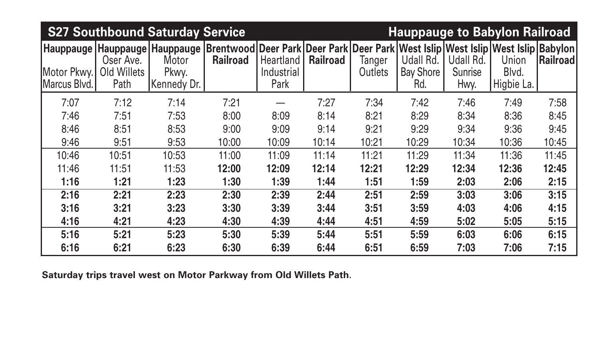| <b>S27 Southbound Saturday Service</b><br><b>Hauppauge to Babylon Railroad</b> |                                  |                               |                                                                                                     |                                        |                 |                   |                                      |                                     |                              |                  |  |
|--------------------------------------------------------------------------------|----------------------------------|-------------------------------|-----------------------------------------------------------------------------------------------------|----------------------------------------|-----------------|-------------------|--------------------------------------|-------------------------------------|------------------------------|------------------|--|
| Hauppauge   Hauppauge   Hauppauge<br>Motor Pkwy.<br>Marcus Blvd.               | Oser Ave.<br>Old Willets<br>Path | Motor<br>Pkwy.<br>Kennedy Dr. | Brentwood Deer Park Deer Park Deer Park West Islip West Islip West Islip Babylon<br><b>Railroad</b> | <b>Heartland</b><br>Industrial<br>Park | <b>Railroad</b> | Tanger<br>Outlets | Udall Rd.<br><b>Bay Shore</b><br>Rd. | Udall Rd.<br><b>Sunrise</b><br>Hwy. | Union<br>Blvd.<br>Higbie La. | <b>Railroadl</b> |  |
| 7:07                                                                           | 7:12                             | 7:14                          | 7:21                                                                                                |                                        | 7:27            | 7:34              | 7:42                                 | 7:46                                | 7:49                         | 7:58             |  |
| 7:46                                                                           | 7:51                             | 7:53                          | 8:00                                                                                                | 8:09                                   | 8:14            | 8:21              | 8:29                                 | 8:34                                | 8:36                         | 8:45             |  |
| 8:46                                                                           | 8:51                             | 8:53                          | 9:00                                                                                                | 9:09                                   | 9:14            | 9:21              | 9:29                                 | 9:34                                | 9:36                         | 9:45             |  |
| 9:46                                                                           | 9:51                             | 9:53                          | 10:00                                                                                               | 10:09                                  | 10:14           | 10:21             | 10:29                                | 10:34                               | 10:36                        | 10:45            |  |
| 10:46                                                                          | 10:51                            | 10:53                         | 11:00                                                                                               | 11:09                                  | 11:14           | 11:21             | 11:29                                | 11:34                               | 11:36                        | 11:45            |  |
| 11:46                                                                          | 11:51                            | 11:53                         | 12:00                                                                                               | 12:09                                  | 12:14           | 12:21             | 12:29                                | 12:34                               | 12:36                        | 12:45            |  |
| 1:16                                                                           | 1:21                             | 1:23                          | 1:30                                                                                                | 1:39                                   | 1:44            | 1:51              | 1:59                                 | 2:03                                | 2:06                         | 2:15             |  |
| 2:16                                                                           | 2:21                             | 2:23                          | 2:30                                                                                                | 2:39                                   | 2:44            | 2:51              | 2:59                                 | 3:03                                | 3:06                         | 3:15             |  |
| 3:16                                                                           | 3:21                             | 3:23                          | 3:30                                                                                                | 3:39                                   | 3:44            | 3:51              | 3:59                                 | 4:03                                | 4:06                         | 4:15             |  |
| 4:16                                                                           | 4:21                             | 4:23                          | 4:30                                                                                                | 4:39                                   | 4:44            | 4:51              | 4:59                                 | 5:02                                | 5:05                         | 5:15             |  |
| 5:16                                                                           | 5:21                             | 5:23                          | 5:30                                                                                                | 5:39                                   | 5:44            | 5:51              | 5:59                                 | 6:03                                | 6:06                         | 6:15             |  |
| 6:16                                                                           | 6:21                             | 6:23                          | 6:30                                                                                                | 6:39                                   | 6:44            | 6:51              | 6:59                                 | 7:03                                | 7:06                         | 7:15             |  |

**Saturday trips travel west on Motor Parkway from Old Willets Path**.